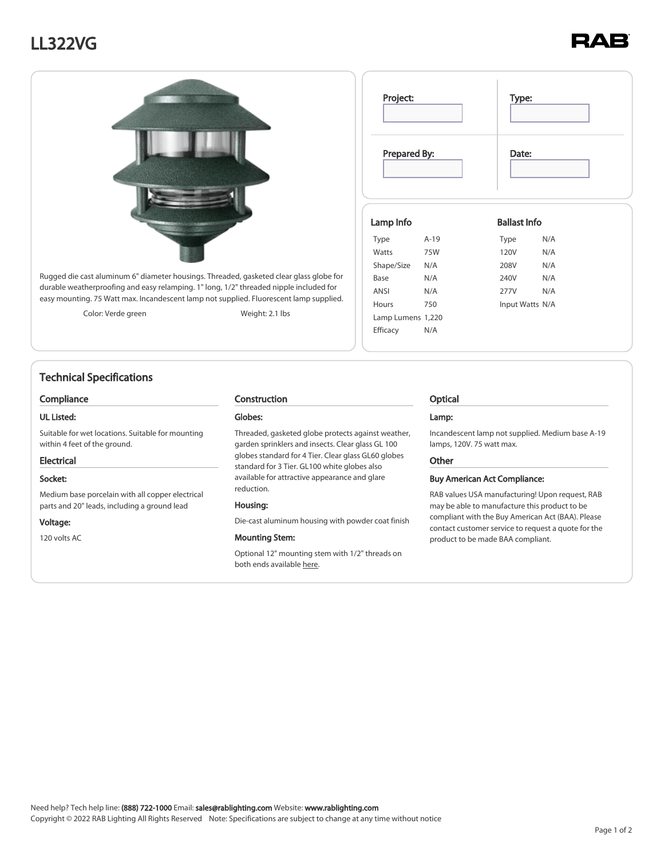# LL322VG



Rugged die cast aluminum 6" diameter housings. Threaded, gasketed clear glass globe for durable weatherproofing and easy relamping. 1" long, 1/2" threaded nipple included for easy mounting. 75 Watt max. Incandescent lamp not supplied. Fluorescent lamp supplied.

Color: Verde green Weight: 2.1 lbs

## Technical Specifications

### Compliance

### UL Listed:

Suitable for wet locations. Suitable for mounting within 4 feet of the ground.

#### Electrical

### Socket:

Medium base porcelain with all copper electrical parts and 20" leads, including a ground lead

#### Voltage:

120 volts AC

### Construction

#### Globes:

Threaded, gasketed globe protects against weather, garden sprinklers and insects. Clear glass GL 100 globes standard for 4 Tier. Clear glass GL60 globes standard for 3 Tier. GL100 white globes also available for attractive appearance and glare reduction.

#### Housing:

Die-cast aluminum housing with powder coat finish

### Mounting Stem:

Optional 12" mounting stem with 1/2" threads on both ends available [here](https://www.rablighting.com/filter/ACCINC).

| Project:  |              | Type:               |  |
|-----------|--------------|---------------------|--|
|           | Prepared By: | Date:               |  |
| Lamp Info |              | <b>Ballast Info</b> |  |
| Type      | $A-19$       | N/A<br>Type         |  |

120V N/A 208V N/A 240V N/A 277V N/A Input Watts N/A

## Optical

Watts 75W Shape/Size N/A Base N/A ANSI N/A Hours 750 Lamp Lumens 1,220 Efficacy N/A

#### Lamp:

Incandescent lamp not supplied. Medium base A-19 lamps, 120V. 75 watt max.

#### **Other**

#### Buy American Act Compliance:

RAB values USA manufacturing! Upon request, RAB may be able to manufacture this product to be compliant with the Buy American Act (BAA). Please contact customer service to request a quote for the product to be made BAA compliant.